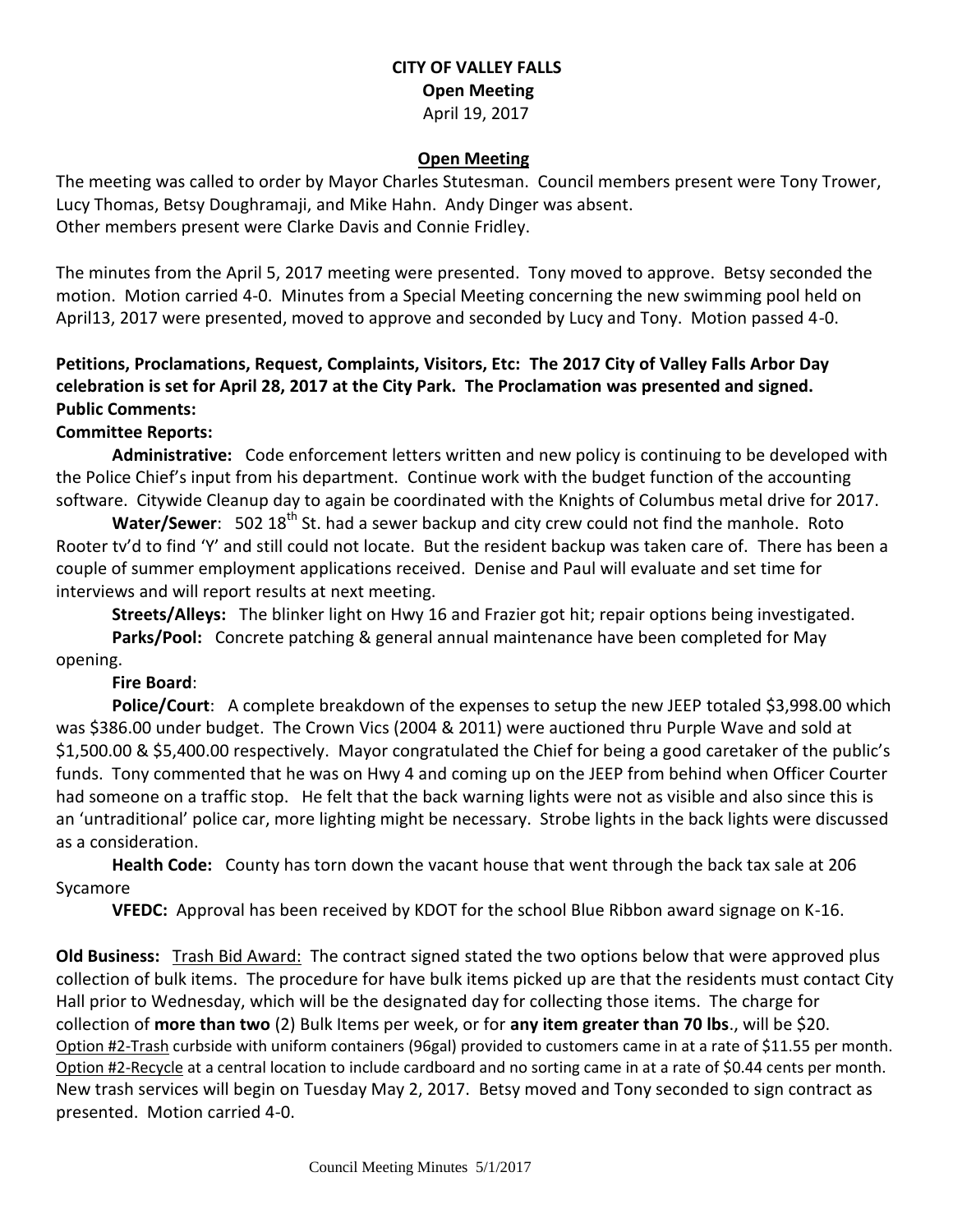# **CITY OF VALLEY FALLS Open Meeting** April 19, 2017

#### **Open Meeting**

The meeting was called to order by Mayor Charles Stutesman. Council members present were Tony Trower, Lucy Thomas, Betsy Doughramaji, and Mike Hahn. Andy Dinger was absent. Other members present were Clarke Davis and Connie Fridley.

The minutes from the April 5, 2017 meeting were presented. Tony moved to approve. Betsy seconded the motion. Motion carried 4-0. Minutes from a Special Meeting concerning the new swimming pool held on April13, 2017 were presented, moved to approve and seconded by Lucy and Tony. Motion passed 4-0.

# **Petitions, Proclamations, Request, Complaints, Visitors, Etc: The 2017 City of Valley Falls Arbor Day celebration is set for April 28, 2017 at the City Park. The Proclamation was presented and signed. Public Comments:**

# **Committee Reports:**

**Administrative:** Code enforcement letters written and new policy is continuing to be developed with the Police Chief's input from his department. Continue work with the budget function of the accounting software. Citywide Cleanup day to again be coordinated with the Knights of Columbus metal drive for 2017.

Water/Sewer: 502 18<sup>th</sup> St. had a sewer backup and city crew could not find the manhole. Roto Rooter tv'd to find 'Y' and still could not locate. But the resident backup was taken care of. There has been a couple of summer employment applications received. Denise and Paul will evaluate and set time for interviews and will report results at next meeting.

**Streets/Alleys:** The blinker light on Hwy 16 and Frazier got hit; repair options being investigated. **Parks/Pool:** Concrete patching & general annual maintenance have been completed for May opening.

## **Fire Board**:

**Police/Court**: A complete breakdown of the expenses to setup the new JEEP totaled \$3,998.00 which was \$386.00 under budget. The Crown Vics (2004 & 2011) were auctioned thru Purple Wave and sold at \$1,500.00 & \$5,400.00 respectively. Mayor congratulated the Chief for being a good caretaker of the public's funds. Tony commented that he was on Hwy 4 and coming up on the JEEP from behind when Officer Courter had someone on a traffic stop. He felt that the back warning lights were not as visible and also since this is an 'untraditional' police car, more lighting might be necessary. Strobe lights in the back lights were discussed as a consideration.

**Health Code:** County has torn down the vacant house that went through the back tax sale at 206 Sycamore

**VFEDC:** Approval has been received by KDOT for the school Blue Ribbon award signage on K-16.

**Old Business:** Trash Bid Award: The contract signed stated the two options below that were approved plus collection of bulk items. The procedure for have bulk items picked up are that the residents must contact City Hall prior to Wednesday, which will be the designated day for collecting those items. The charge for collection of **more than two** (2) Bulk Items per week, or for **any item greater than 70 lbs**., will be \$20. Option #2-Trash curbside with uniform containers (96gal) provided to customers came in at a rate of \$11.55 per month. Option #2-Recycle at a central location to include cardboard and no sorting came in at a rate of \$0.44 cents per month. New trash services will begin on Tuesday May 2, 2017. Betsy moved and Tony seconded to sign contract as presented. Motion carried 4-0.